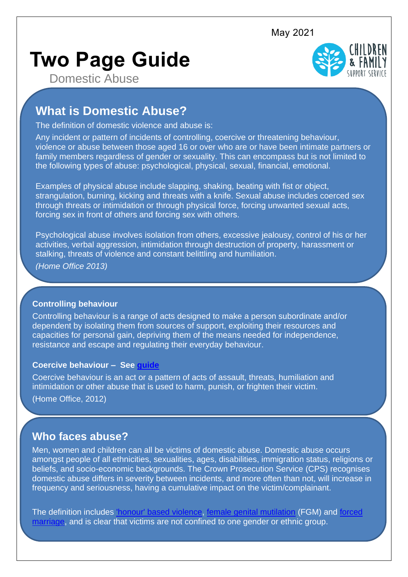May 2021

# **Two Page Guide**



Domestic Abuse

## **What is Domestic Abuse?**

The definition of domestic violence and abuse is:

Any incident or pattern of incidents of controlling, coercive or threatening behaviour, violence or abuse between those aged 16 or over who are or have been intimate partners or family members regardless of gender or sexuality. This can encompass but is not limited to the following types of abuse: psychological, physical, sexual, financial, emotional.

Examples of physical abuse include slapping, shaking, beating with fist or object, strangulation, burning, kicking and threats with a knife. Sexual abuse includes coerced sex through threats or intimidation or through physical force, forcing unwanted sexual acts, forcing sex in front of others and forcing sex with others.

Psychological abuse involves isolation from others, excessive jealousy, control of his or her activities, verbal aggression, intimidation through destruction of property, harassment or stalking, threats of violence and constant belittling and humiliation.

*(Home Office 2013)*

## **Controlling behaviour**

Controlling behaviour is a range of acts designed to make a person subordinate and/or dependent by isolating them from sources of support, exploiting their resources and capacities for personal gain, depriving them of the means needed for independence, resistance and escape and regulating their everyday behaviour.

### **Coercive behaviour – See [guide](https://api.warwickshire.gov.uk/documents/WCCC-1642278725-4982)**

Coercive behaviour is an act or a pattern of acts of assault, threats, humiliation and intimidation or other abuse that is used to harm, punish, or frighten their victim. (Home Office, 2012)

## **Who faces abuse?**

Men, women and children can all be victims of domestic abuse. Domestic abuse occurs amongst people of all ethnicities, sexualities, ages, disabilities, immigration status, religions or beliefs, and socio-economic backgrounds. The Crown Prosecution Service (CPS) recognises domestic abuse differs in severity between incidents, and more often than not, will increase in frequency and seriousness, having a cumulative impact on the victim/complainant.

The definition includes ['honour' based violence,](https://api.warwickshire.gov.uk/documents/WCCC-1642278725-4977) [female genital mutilation](https://api.warwickshire.gov.uk/documents/WCCC-1642278725-4653) (FGM) and [forced](https://api.warwickshire.gov.uk/documents/WCCC-1642278725-4654)  [marriage,](https://api.warwickshire.gov.uk/documents/WCCC-1642278725-4654) and is clear that victims are not confined to one gender or ethnic group.